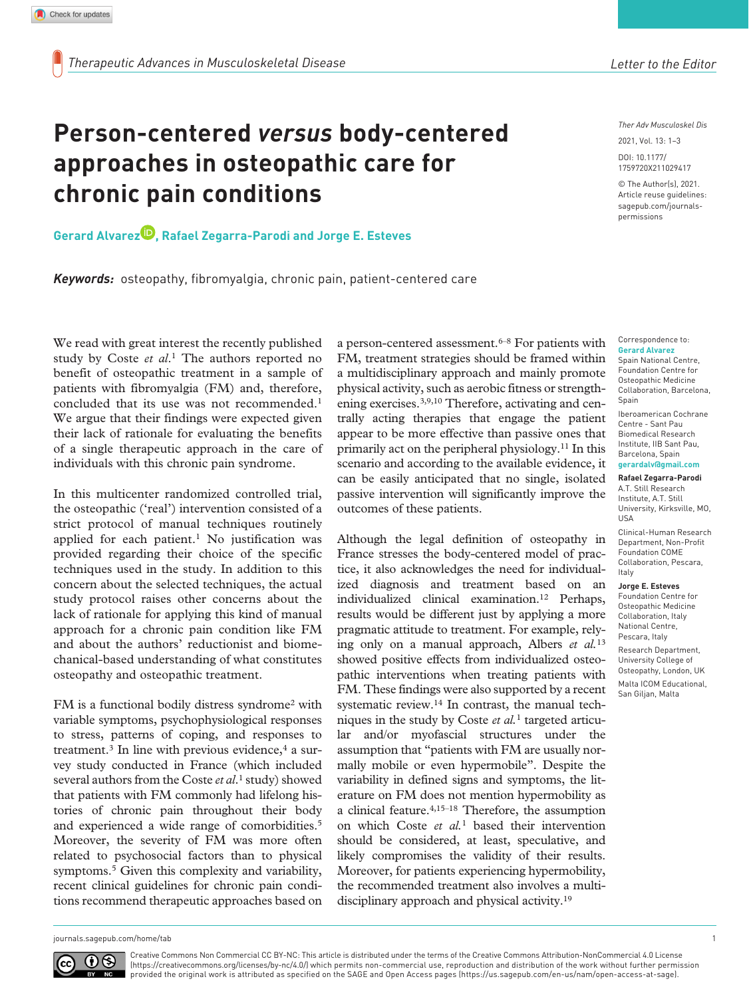# **Person-centered** *versus* **body-centered approaches in osteopathic care for chronic pain conditions**

# **Gerard Alvarez , Rafael Zegarra-Parodi and Jorge E. Esteves**

*Keywords:* osteopathy, fibromyalgia, chronic pain, patient-centered care

We read with great interest the recently published study by Coste *et al*.1 The authors reported no benefit of osteopathic treatment in a sample of patients with fibromyalgia (FM) and, therefore, concluded that its use was not recommended.1 We argue that their findings were expected given their lack of rationale for evaluating the benefits of a single therapeutic approach in the care of individuals with this chronic pain syndrome.

In this multicenter randomized controlled trial, the osteopathic ('real') intervention consisted of a strict protocol of manual techniques routinely applied for each patient.<sup>1</sup> No justification was provided regarding their choice of the specific techniques used in the study. In addition to this concern about the selected techniques, the actual study protocol raises other concerns about the lack of rationale for applying this kind of manual approach for a chronic pain condition like FM and about the authors' reductionist and biomechanical-based understanding of what constitutes osteopathy and osteopathic treatment.

FM is a functional bodily distress syndrome2 with variable symptoms, psychophysiological responses to stress, patterns of coping, and responses to treatment.<sup>3</sup> In line with previous evidence, $4$  a survey study conducted in France (which included several authors from the Coste *et al*.1 study) showed that patients with FM commonly had lifelong histories of chronic pain throughout their body and experienced a wide range of comorbidities.5 Moreover, the severity of FM was more often related to psychosocial factors than to physical symptoms.<sup>5</sup> Given this complexity and variability, recent clinical guidelines for chronic pain conditions recommend therapeutic approaches based on

a person-centered assessment.<sup>6–8</sup> For patients with FM, treatment strategies should be framed within a multidisciplinary approach and mainly promote physical activity, such as aerobic fitness or strengthening exercises.3,9,10 Therefore, activating and centrally acting therapies that engage the patient appear to be more effective than passive ones that primarily act on the peripheral physiology.11 In this scenario and according to the available evidence, it can be easily anticipated that no single, isolated passive intervention will significantly improve the outcomes of these patients.

Although the legal definition of osteopathy in France stresses the body-centered model of practice, it also acknowledges the need for individualized diagnosis and treatment based on an individualized clinical examination.12 Perhaps, results would be different just by applying a more pragmatic attitude to treatment. For example, relying only on a manual approach, Albers *et al.*<sup>13</sup> showed positive effects from individualized osteopathic interventions when treating patients with FM. These findings were also supported by a recent systematic review.14 In contrast, the manual techniques in the study by Coste *et al.*1 targeted articular and/or myofascial structures under the assumption that "patients with FM are usually normally mobile or even hypermobile". Despite the variability in defined signs and symptoms, the literature on FM does not mention hypermobility as a clinical feature.4,15–18 Therefore, the assumption on which Coste *et al.*1 based their intervention should be considered, at least, speculative, and likely compromises the validity of their results. Moreover, for patients experiencing hypermobility, the recommended treatment also involves a multidisciplinary approach and physical activity.19

*Ther Adv Musculoskel Dis*

DOI: 10.1177/ 2021, Vol. 13: 1–3

© The Author(s), 2021. Article reuse guidelines: [sagepub.com/journals](https://uk.sagepub.com/en-gb/journals-permissions)[permissions](https://uk.sagepub.com/en-gb/journals-permissions)

https://doi.org/10.1177/1759720X211029417 1759720X211029417

#### Correspondence to: **Gerard Alvarez**

Spain National Centre, Foundation Centre for Osteopathic Medicine Collaboration, Barcelona, Spain

Iberoamerican Cochrane Centre - Sant Pau Biomedical Research Institute, IIB Sant Pau, Barcelona, Spain **[gerardalv@gmail.com](mailto:gerardalv@gmail.com)**

# **Rafael Zegarra-Parodi**

A.T. Still Research Institute, A.T. Still University, Kirksville, MO, USA Clinical-Human Research Department, Non-Profit

Foundation COME Collaboration, Pescara, Italy

#### **Jorge E. Esteves**

Foundation Centre for Osteopathic Medicine Collaboration, Italy National Centre, Pescara, Italy Research Department, University College of Osteopathy, London, UK Malta ICOM Educational, San Giljan, Malta

```
0(cc
```
Creative Commons Non Commercial CC BY-NC: This article is distributed under the terms of the Creative Commons Attribution-NonCommercial 4.0 License (https://creativecommons.org/licenses/by-nc/4.0/) which permits non-commercial use, reproduction and distribution of the work without further permission provided the original work is attributed as specified on the SAGE and Open Access pages (https://us.sagepub.com/en-us/nam/open-access-at-sage).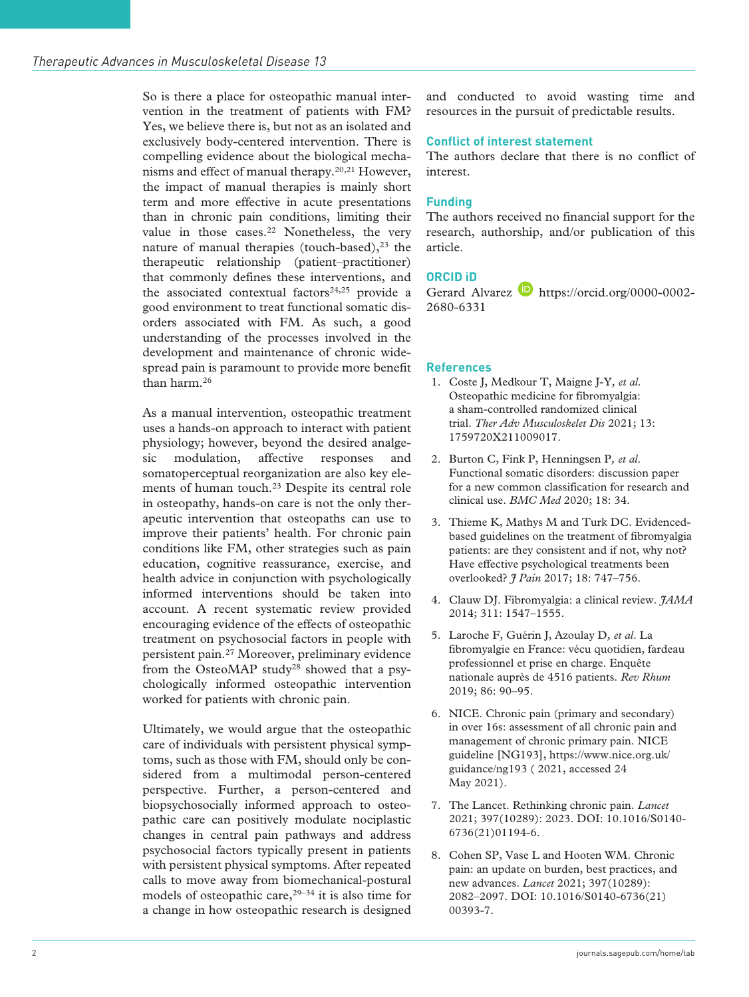So is there a place for osteopathic manual intervention in the treatment of patients with FM? Yes, we believe there is, but not as an isolated and exclusively body-centered intervention. There is compelling evidence about the biological mechanisms and effect of manual therapy.20,21 However, the impact of manual therapies is mainly short term and more effective in acute presentations than in chronic pain conditions, limiting their value in those cases.<sup>22</sup> Nonetheless, the very nature of manual therapies (touch-based), $23$  the therapeutic relationship (patient–practitioner) that commonly defines these interventions, and the associated contextual factors<sup>24,25</sup> provide a good environment to treat functional somatic disorders associated with FM. As such, a good understanding of the processes involved in the development and maintenance of chronic widespread pain is paramount to provide more benefit than harm.26

As a manual intervention, osteopathic treatment uses a hands-on approach to interact with patient physiology; however, beyond the desired analgesic modulation, affective responses and somatoperceptual reorganization are also key elements of human touch.23 Despite its central role in osteopathy, hands-on care is not the only therapeutic intervention that osteopaths can use to improve their patients' health. For chronic pain conditions like FM, other strategies such as pain education, cognitive reassurance, exercise, and health advice in conjunction with psychologically informed interventions should be taken into account. A recent systematic review provided encouraging evidence of the effects of osteopathic treatment on psychosocial factors in people with persistent pain.27 Moreover, preliminary evidence from the OsteoMAP study28 showed that a psychologically informed osteopathic intervention worked for patients with chronic pain.

Ultimately, we would argue that the osteopathic care of individuals with persistent physical symptoms, such as those with FM, should only be considered from a multimodal person-centered perspective. Further, a person-centered and biopsychosocially informed approach to osteopathic care can positively modulate nociplastic changes in central pain pathways and address psychosocial factors typically present in patients with persistent physical symptoms. After repeated calls to move away from biomechanical-postural models of osteopathic care,  $29-34$  it is also time for a change in how osteopathic research is designed and conducted to avoid wasting time and resources in the pursuit of predictable results.

## **Conflict of interest statement**

The authors declare that there is no conflict of interest.

# **Funding**

The authors received no financial support for the research, authorship, and/or publication of this article.

# **ORCID iD**

Gerard Alvarez **[https://orcid.org/0000-0002-](https://orcid.org/0000-0002-2680-6331)** [2680-6331](https://orcid.org/0000-0002-2680-6331)

### **References**

- 1. Coste J, Medkour T, Maigne J-Y*, et al*. Osteopathic medicine for fibromyalgia: a sham-controlled randomized clinical trial. *Ther Adv Musculoskelet Dis* 2021; 13: 1759720X211009017.
- 2. Burton C, Fink P, Henningsen P*, et al*. Functional somatic disorders: discussion paper for a new common classification for research and clinical use. *BMC Med* 2020; 18: 34.
- 3. Thieme K, Mathys M and Turk DC. Evidencedbased guidelines on the treatment of fibromyalgia patients: are they consistent and if not, why not? Have effective psychological treatments been overlooked? *J Pain* 2017; 18: 747–756.
- 4. Clauw DJ. Fibromyalgia: a clinical review. *JAMA* 2014; 311: 1547–1555.
- 5. Laroche F, Guérin J, Azoulay D*, et al*. La fibromyalgie en France: vécu quotidien, fardeau professionnel et prise en charge. Enquête nationale auprès de 4516 patients. *Rev Rhum* 2019; 86: 90–95.
- 6. NICE. Chronic pain (primary and secondary) in over 16s: assessment of all chronic pain and management of chronic primary pain. NICE guideline [NG193], [https://www.nice.org.uk/](https://www.nice.org.uk/guidance/ng193) [guidance/ng193](https://www.nice.org.uk/guidance/ng193) ( 2021, accessed 24 May 2021).
- 7. The Lancet. Rethinking chronic pain. *Lancet* 2021; 397(10289): 2023. DOI: 10.1016/S0140- 6736(21)01194-6.
- 8. Cohen SP, Vase L and Hooten WM. Chronic pain: an update on burden, best practices, and new advances. *Lancet* 2021; 397(10289): 2082–2097. DOI: 10.1016/S0140-6736(21) 00393-7.